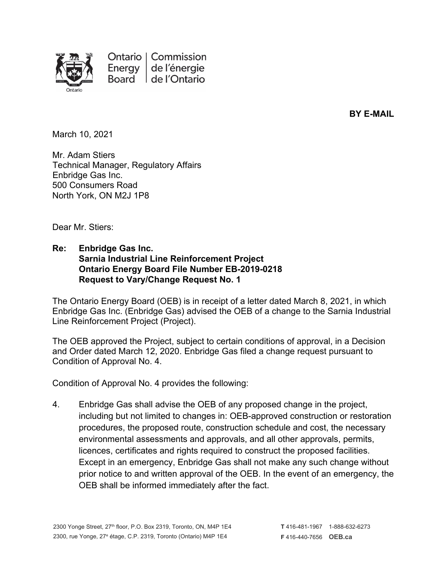

**BY E-MAIL**

March 10, 2021

Mr. Adam Stiers Technical Manager, Regulatory Affairs Enbridge Gas Inc. 500 Consumers Road North York, ON M2J 1P8

Dear Mr. Stiers:

## **Re: Enbridge Gas Inc. Sarnia Industrial Line Reinforcement Project Ontario Energy Board File Number EB-2019-0218 Request to Vary/Change Request No. 1**

The Ontario Energy Board (OEB) is in receipt of a letter dated March 8, 2021, in which Enbridge Gas Inc. (Enbridge Gas) advised the OEB of a change to the Sarnia Industrial Line Reinforcement Project (Project).

The OEB approved the Project, subject to certain conditions of approval, in a Decision and Order dated March 12, 2020. Enbridge Gas filed a change request pursuant to Condition of Approval No. 4.

Condition of Approval No. 4 provides the following:

4. Enbridge Gas shall advise the OEB of any proposed change in the project, including but not limited to changes in: OEB-approved construction or restoration procedures, the proposed route, construction schedule and cost, the necessary environmental assessments and approvals, and all other approvals, permits, licences, certificates and rights required to construct the proposed facilities. Except in an emergency, Enbridge Gas shall not make any such change without prior notice to and written approval of the OEB. In the event of an emergency, the OEB shall be informed immediately after the fact.